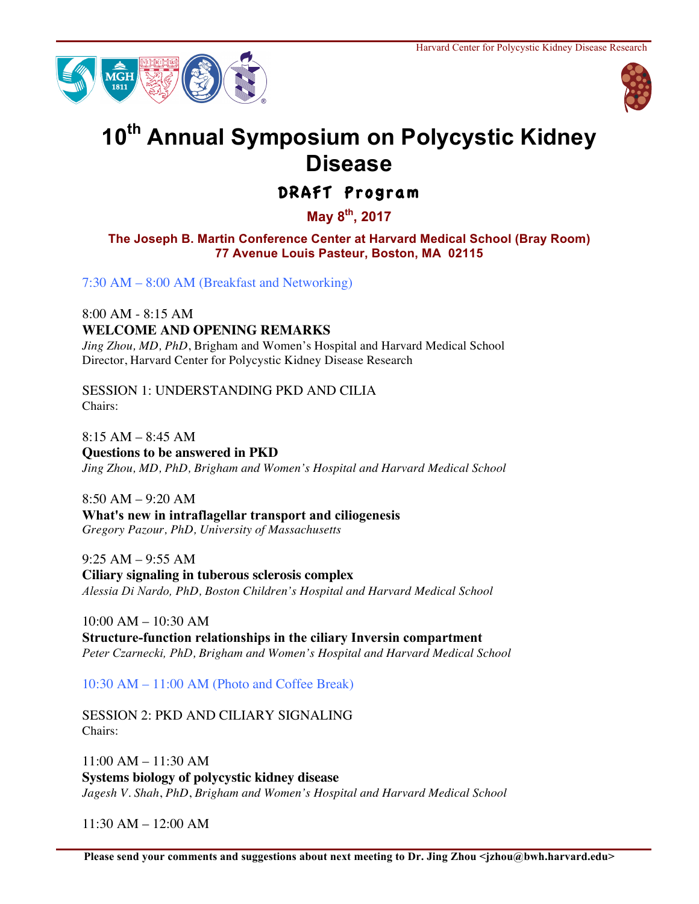



## **10th Annual Symposium on Polycystic Kidney Disease**

DRAFT Program

**May 8th, 2017**

**The Joseph B. Martin Conference Center at Harvard Medical School (Bray Room) 77 Avenue Louis Pasteur, Boston, MA 02115**

7:30 AM – 8:00 AM (Breakfast and Networking)

8:00 AM - 8:15 AM **WELCOME AND OPENING REMARKS**

*Jing Zhou, MD, PhD*, Brigham and Women's Hospital and Harvard Medical School Director, Harvard Center for Polycystic Kidney Disease Research

SESSION 1: UNDERSTANDING PKD AND CILIA Chairs:

8:15 AM – 8:45 AM **Questions to be answered in PKD** *Jing Zhou, MD, PhD, Brigham and Women's Hospital and Harvard Medical School*

8:50 AM – 9:20 AM **What's new in intraflagellar transport and ciliogenesis** *Gregory Pazour, PhD, University of Massachusetts*

9:25 AM – 9:55 AM **Ciliary signaling in tuberous sclerosis complex** *Alessia Di Nardo, PhD, Boston Children's Hospital and Harvard Medical School*

10:00 AM – 10:30 AM **Structure-function relationships in the ciliary Inversin compartment** *Peter Czarnecki, PhD, Brigham and Women's Hospital and Harvard Medical School*

10:30 AM – 11:00 AM (Photo and Coffee Break)

SESSION 2: PKD AND CILIARY SIGNALING Chairs:

11:00 AM – 11:30 AM **Systems biology of polycystic kidney disease** *Jagesh V. Shah*, *PhD*, *Brigham and Women's Hospital and Harvard Medical School*

 $11:30$  AM  $- 12:00$  AM